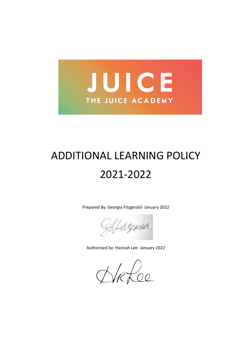

# ADDITIONAL LEARNING POLICY 2021-2022

Prepared By: Georgia Fitzgerald- January 2022

Hotzened.

Authorised by: Hannah Lee- January 2022

Hefoe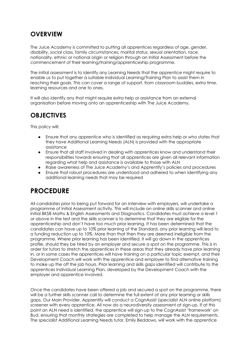## **OVERVIEW**

The Juice Academy is committed to putting all apprentices regardless of age, gender, disability, social class, family circumstances, marital status, sexual orientation, race, nationality, ethnic or national origin or religion through an Initial Assessment before the commencement of their learning/training/apprenticeship programme.

The initial assessment is to identify any Learning Needs that the apprentice might require to enable us to put together a suitable Individual Learning/Training Plan to assist them in reaching their goals. This can cover a range of support, from classroom buddies, extra time, learning resources and one to ones.

It will also identify any that might require extra help or assistance from an external organisation before moving onto an apprenticeship with The Juice Academy.

## **OBJECTIVES**

This policy will:

- Ensure that any apprentice who is identified as requiring extra help or who states that they have Additional Learning Needs (ALN) is provided with the appropriate assistance
- Ensure that all staff involved in dealing with apprentices know and understand their responsibilities towards ensuring that all apprentices are given all relevant information regarding what help and assistance is available to those with ALN
- Raise awareness of The Juice Academy's and Apprentify's policies and procedures
- Ensure that robust procedures are understood and adhered to when identifying any additional learning needs that may be required

## **PROCEDURE**

All candidates prior to being put forward for an interview with employers, will undertake a programme of Initial Assessment activity. This will include an online skills scanner and online Initial BKSB Maths & English Assessments and Diagnostics. Candidates must achieve a level 1 or above in the test and the skills scanner is to determine that they are eligible for the apprenticeship and don't have too much prior learning. It has been determined that the candidates can have up to 10% prior learning of the Standard, any prior learning will lead to a funding reduction up to 10%. More than that then they are deemed ineligible from the programme. Where prior learning has been identified, it will go down in the apprentices profile, should they be hired by an employer and secure a spot on the programme. This is in order for tutors to stretch the apprentices in these areas that they already have prior learning in, or in some cases the apprentices will have training on a particular topic exempt, and their Development Coach will work with the apprentice and employer to find alternative training to make up the off the job hours. Prior learning and skills gaps identified will contribute to the apprentices Individual Learning Plan, developed by the Development Coach with the employer and apprentice involved.

Once the candidates have been offered a job and secured a spot on the programme, there will be a further skills scanner call to determine the full extent of any prior learning or skills gaps. Our Main Provider, Apprentify will conduct a CognAssist (specialist ALN online platform) screener with every apprentice. All now do a neurodiversity assessment at sign-up. If at this point an ALN need is identified, the apprentice will sign-up to the CognAssist 'framework' on Bud, ensuring that monthly strategies are completed to help manage the ALN requirements. The specialist Additional Learning Needs tutor, Emily Beddows, will work with the apprentice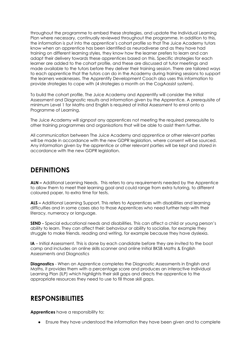throughout the programme to embed these strategies, and update the Individual Learning Plan where necessary, continually reviewed throughout the programme. In addition to this, the information is put into the apprentice's cohort profile so that The Juice Academy tutors know when an apprentice has been identified as neurodiverse and as they have had training on different learning styles, they know how the learner prefers to learn and can adapt their delivery towards these apprentices based on this. Specific strategies for each learner are added to the cohort profile, and these are discussed at tutor meetings and made available to the tutors before they deliver their training session. There are tailored ways to each apprentice that the tutors can do in the Academy during training sessions to support the learners weaknesses. The Apprentify Development Coach also uses this information to provide strategies to cope with (4 strategies a month on the CogAassist system).

To build the cohort profile, The Juice Academy and Apprentify will consider the Initial Assessment and Diagnostic results and information given by the Apprentice. A prerequisite of minimum Level 1 for Maths and English is required at Initial Assessment to enrol onto a Programme of Learning.

The Juice Academy will signpost any apprentices not meeting the required prerequisite to other training programmes and organisations that will be able to assist them further.

All communication between The Juice Academy and apprentice or other relevant parties will be made in accordance with the new GDPR legislation, where consent will be sourced. Any information given by the apprentice or other relevant parties will be kept and stored in accordance with the new GDPR legislation.

## **DEFINITIONS**

**ALN –** Additional Learning Needs. This refers to any requirements needed by the Apprentice to allow them to meet their learning goal and could range from extra tutoring, to different coloured paper, to extra time for tests.

**ALS –** Additional Learning Support. This refers to Apprentices with disabilities and learning difficulties and in some cases also to those Apprentices who need further help with their literacy, numeracy or language.

**SEND -** Special educational needs and disabilities. This can affect a child or young person's ability to learn. They can affect their: behaviour or ability to socialise, for example they struggle to make friends. reading and writing, for example because they have dyslexia.

**IA** – Initial Assessment. This is done by each candidate before they are invited to the boot camp and includes an online skills scanner and online Initial BKSB Maths & English Assessments and Diagnostics

**Diagnostics** - When an Apprentice completes the Diagnostic Assessments in English and Maths, it provides them with a percentage score and produces an interactive Individual Learning Plan (ILP) which highlights their skill gaps and directs the apprentice to the appropriate resources they need to use to fill those skill gaps.

## **RESPONSIBILITIES**

**Apprentices** have a responsibility to:

● Ensure they have understood the information they have been given and to complete